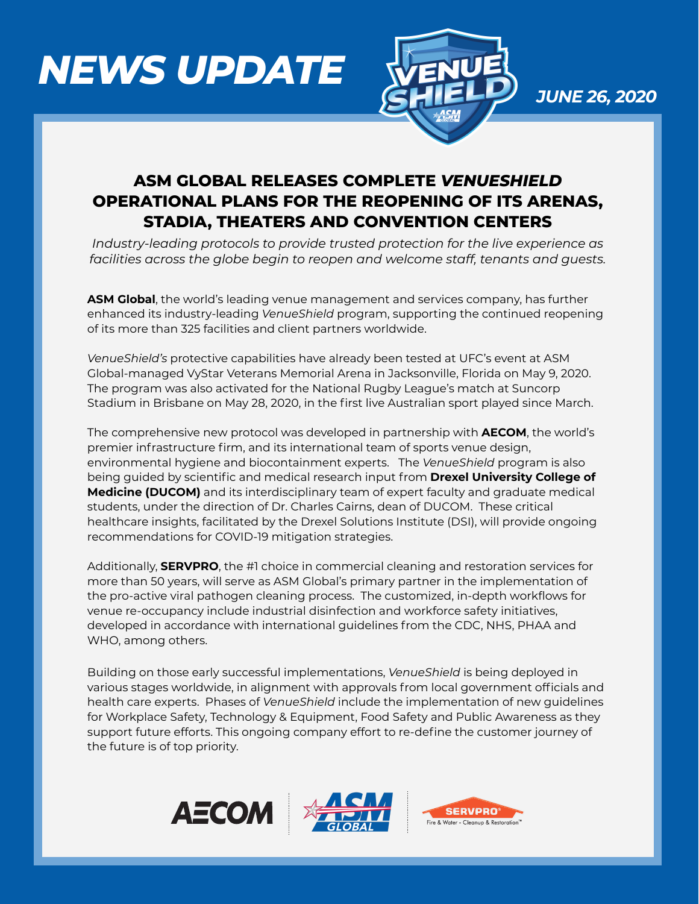# *NEWS UPDATE*



*JUNE 26, 2020*

## **ASM GLOBAL RELEASES COMPLETE** *VENUESHIELD* **OPERATIONAL PLANS FOR THE REOPENING OF ITS ARENAS, STADIA, THEATERS AND CONVENTION CENTERS**

*Industry-leading protocols to provide trusted protection for the live experience as facilities across the globe begin to reopen and welcome staff, tenants and guests.* 

**ASM Global**, the world's leading venue management and services company, has further enhanced its industry-leading *VenueShield* program, supporting the continued reopening of its more than 325 facilities and client partners worldwide.

*VenueShield's* protective capabilities have already been tested at UFC's event at ASM Global-managed VyStar Veterans Memorial Arena in Jacksonville, Florida on May 9, 2020. The program was also activated for the National Rugby League's match at Suncorp Stadium in Brisbane on May 28, 2020, in the first live Australian sport played since March.

The comprehensive new protocol was developed in partnership with **AECOM**, the world's premier infrastructure firm, and its international team of sports venue design, environmental hygiene and biocontainment experts. The *VenueShield* program is also being guided by scientific and medical research input from **Drexel University College of Medicine (DUCOM)** and its interdisciplinary team of expert faculty and graduate medical students, under the direction of Dr. Charles Cairns, dean of DUCOM. These critical healthcare insights, facilitated by the Drexel Solutions Institute (DSI), will provide ongoing recommendations for COVID-19 mitigation strategies.

Additionally, **SERVPRO**, the #1 choice in commercial cleaning and restoration services for more than 50 years, will serve as ASM Global's primary partner in the implementation of the pro-active viral pathogen cleaning process. The customized, in-depth workflows for venue re-occupancy include industrial disinfection and workforce safety initiatives, developed in accordance with international guidelines from the CDC, NHS, PHAA and WHO, among others.

Building on those early successful implementations, *VenueShield* is being deployed in various stages worldwide, in alignment with approvals from local government officials and health care experts. Phases of *VenueShield* include the implementation of new guidelines for Workplace Safety, Technology & Equipment, Food Safety and Public Awareness as they support future efforts. This ongoing company effort to re-define the customer journey of the future is of top priority.